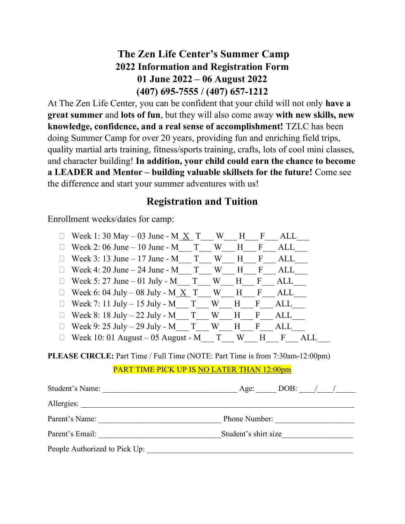## The Zen Life Center's Summer Camp 2022 Information and Registration Form 01 June 2022 – 06 August 2022 (407) 695-7555 / (407) 657-1212

At The Zen Life Center, you can be confident that your child will not only have a great summer and lots of fun, but they will also come away with new skills, new knowledge, confidence, and a real sense of accomplishment! TZLC has been doing Summer Camp for over 20 years, providing fun and enriching field trips, quality martial arts training, fitness/sports training, crafts, lots of cool mini classes, and character building! In addition, your child could earn the chance to become a LEADER and Mentor – building valuable skillsets for the future! Come see the difference and start your summer adventures with us!

### Registration and Tuition

Enrollment weeks/dates for camp:

| Week 1: 30 May $-$ 03 June - M $\overline{X}$ T W H   |     | $-F$         | ALL |
|-------------------------------------------------------|-----|--------------|-----|
| Week 2: 06 June $-10$ June $-M$ T                     | W H | $\mathbf{F}$ | ALL |
| Week 3: 13 June – 17 June - M $T$ W H                 |     | $\mathbf{F}$ | ALL |
| Week 4: 20 June – 24 June - $M$ T W H                 |     | $\mathbf{F}$ | ALL |
| Week 5: 27 June – 01 July - M T W H F                 |     |              | ALL |
| Week 6: 04 July – 08 July - M $\overline{X}$ T W H F  |     |              | ALL |
| Week 7: 11 July – 15 July - M T W H F                 |     |              | ALL |
| Week 8: $18 \text{ July} - 22 \text{ July} - M$ T W H |     | $\Gamma$     | ALL |
| Week 9: 25 July - 29 July - M $T$ W H F               |     |              | ALL |
| $\Box$ Week 10: 01 August – 05 August - M T W         |     | H            | F   |

PLEASE CIRCLE: Part Time / Full Time (NOTE: Part Time is from 7:30am-12:00pm)

#### PART TIME PICK UP IS NO LATER THAN 12:00pm

| Student's Name:               | $DOB:$ / /<br>Age:   |
|-------------------------------|----------------------|
| Allergies:                    |                      |
| Parent's Name:                | Phone Number:        |
| Parent's Email:               | Student's shirt size |
| People Authorized to Pick Up: |                      |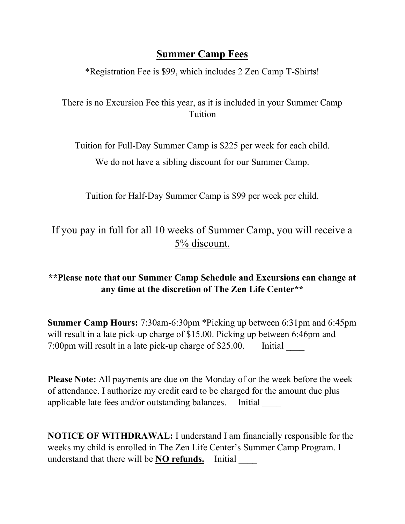## Summer Camp Fees

\*Registration Fee is \$99, which includes 2 Zen Camp T-Shirts!

There is no Excursion Fee this year, as it is included in your Summer Camp Tuition

Tuition for Full-Day Summer Camp is \$225 per week for each child.

We do not have a sibling discount for our Summer Camp.

Tuition for Half-Day Summer Camp is \$99 per week per child.

## If you pay in full for all 10 weeks of Summer Camp, you will receive a 5% discount.

### \*\*Please note that our Summer Camp Schedule and Excursions can change at any time at the discretion of The Zen Life Center\*\*

Summer Camp Hours: 7:30am-6:30pm \*Picking up between 6:31pm and 6:45pm will result in a late pick-up charge of \$15.00. Picking up between 6:46pm and 7:00pm will result in a late pick-up charge of \$25.00. Initial

Please Note: All payments are due on the Monday of or the week before the week of attendance. I authorize my credit card to be charged for the amount due plus applicable late fees and/or outstanding balances. Initial \_\_\_\_

NOTICE OF WITHDRAWAL: I understand I am financially responsible for the weeks my child is enrolled in The Zen Life Center's Summer Camp Program. I understand that there will be **NO refunds.** Initial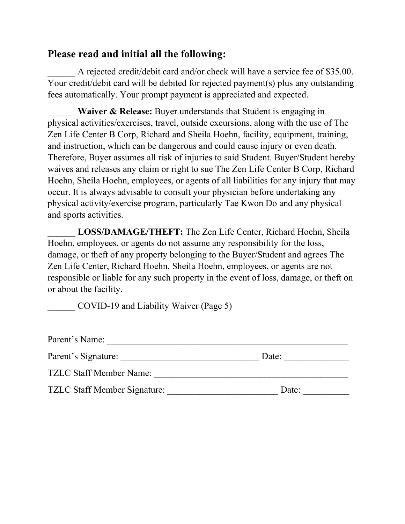### Please read and initial all the following:

A rejected credit/debit card and/or check will have a service fee of \$35.00. Your credit/debit card will be debited for rejected payment(s) plus any outstanding fees automatically. Your prompt payment is appreciated and expected.

Waiver & Release: Buyer understands that Student is engaging in physical activities/exercises, travel, outside excursions, along with the use of The Zen Life Center B Corp, Richard and Sheila Hoehn, facility, equipment, training, and instruction, which can be dangerous and could cause injury or even death. Therefore, Buyer assumes all risk of injuries to said Student. Buyer/Student hereby waives and releases any claim or right to sue The Zen Life Center B Corp, Richard Hoehn, Sheila Hoehn, employees, or agents of all liabilities for any injury that may occur. It is always advisable to consult your physician before undertaking any physical activity/exercise program, particularly Tae Kwon Do and any physical and sports activities.

LOSS/DAMAGE/THEFT: The Zen Life Center, Richard Hoehn, Sheila Hoehn, employees, or agents do not assume any responsibility for the loss, damage, or theft of any property belonging to the Buyer/Student and agrees The Zen Life Center, Richard Hoehn, Sheila Hoehn, employees, or agents are not responsible or liable for any such property in the event of loss, damage, or theft on or about the facility.

COVID-19 and Liability Waiver (Page 5)

| Parent's Name:                 |       |  |  |  |
|--------------------------------|-------|--|--|--|
| Parent's Signature:            | Date: |  |  |  |
| <b>TZLC Staff Member Name:</b> |       |  |  |  |
| TZLC Staff Member Signature:   | Date: |  |  |  |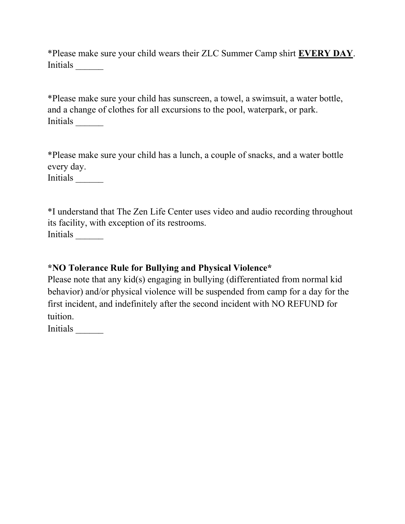\*Please make sure your child wears their ZLC Summer Camp shirt EVERY DAY. Initials \_\_\_\_\_\_

\*Please make sure your child has sunscreen, a towel, a swimsuit, a water bottle, and a change of clothes for all excursions to the pool, waterpark, or park. Initials \_\_\_\_\_\_

\*Please make sure your child has a lunch, a couple of snacks, and a water bottle every day.

Initials \_\_\_\_\_\_

\*I understand that The Zen Life Center uses video and audio recording throughout its facility, with exception of its restrooms. Initials \_\_\_\_\_\_

#### \*NO Tolerance Rule for Bullying and Physical Violence\*

Please note that any kid(s) engaging in bullying (differentiated from normal kid behavior) and/or physical violence will be suspended from camp for a day for the first incident, and indefinitely after the second incident with NO REFUND for tuition.

Initials \_\_\_\_\_\_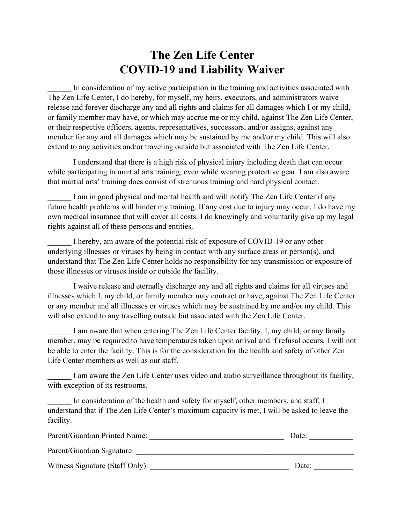## The Zen Life Center COVID-19 and Liability Waiver

In consideration of my active participation in the training and activities associated with The Zen Life Center, I do hereby, for myself, my heirs, executors, and administrators waive release and forever discharge any and all rights and claims for all damages which I or my child, or family member may have, or which may accrue me or my child, against The Zen Life Center, or their respective officers, agents, representatives, successors, and/or assigns, against any member for any and all damages which may be sustained by me and/or my child. This will also extend to any activities and/or traveling outside but associated with The Zen Life Center.

I understand that there is a high risk of physical injury including death that can occur while participating in martial arts training, even while wearing protective gear. I am also aware that martial arts' training does consist of strenuous training and hard physical contact.

I am in good physical and mental health and will notify The Zen Life Center if any future health problems will hinder my training. If any cost due to injury may occur, I do have my own medical insurance that will cover all costs. I do knowingly and voluntarily give up my legal rights against all of these persons and entities.

I hereby, am aware of the potential risk of exposure of COVID-19 or any other underlying illnesses or viruses by being in contact with any surface areas or person(s), and understand that The Zen Life Center holds no responsibility for any transmission or exposure of those illnesses or viruses inside or outside the facility.

I waive release and eternally discharge any and all rights and claims for all viruses and illnesses which I, my child, or family member may contract or have, against The Zen Life Center or any member and all illnesses or viruses which may be sustained by me and/or my child. This will also extend to any travelling outside but associated with the Zen Life Center.

I am aware that when entering The Zen Life Center facility, I, my child, or any family member, may be required to have temperatures taken upon arrival and if refusal occurs, I will not be able to enter the facility. This is for the consideration for the health and safety of other Zen Life Center members as well as our staff.

I am aware the Zen Life Center uses video and audio surveillance throughout its facility, with exception of its restrooms.

In consideration of the health and safety for myself, other members, and staff, I understand that if The Zen Life Center's maximum capacity is met, I will be asked to leave the facility.

| Parent/Guardian Printed Name:   | Date: |  |  |
|---------------------------------|-------|--|--|
| Parent/Guardian Signature:      |       |  |  |
| Witness Signature (Staff Only): | Date: |  |  |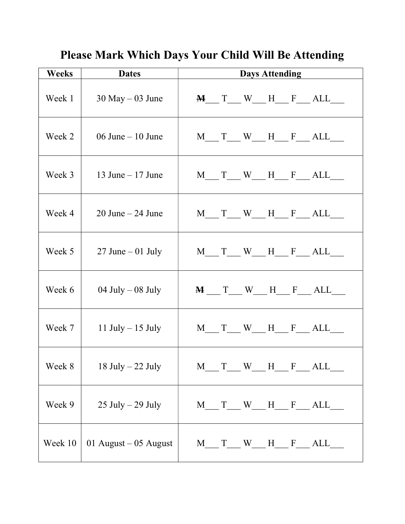| <b>Weeks</b> | <b>Dates</b>                | <b>Days Attending</b>                                                                         |
|--------------|-----------------------------|-----------------------------------------------------------------------------------------------|
| Week 1       | $30$ May $-03$ June         | $M$ $T$ $W$ $H$ $F$ $ALL$                                                                     |
| Week 2       | 06 June $-10$ June          | M T W H F ALL                                                                                 |
| Week 3       | $\vert$ 13 June – 17 June   | $M$ $T$ $W$ $H$ $F$ $ALL$                                                                     |
| Week 4       | $20$ June $- 24$ June       | $M$ $T$ $W$ $H$ $F$ $ALL$                                                                     |
| Week 5       | 27 June $-01$ July          | $M$ $T$ $W$ $H$ $F$ $ALL$                                                                     |
| Week 6       | 04 July $-$ 08 July         | $M$ $T$ $W$ $H$ $F$ $ALL$                                                                     |
|              | Week 7   11 July $-15$ July | $M$ <sub>___</sub> T <sub>___</sub> W <sub>___</sub> H <sub>___</sub> F <sub>___</sub> ALL___ |
| Week 8       | $18$ July $-22$ July        | T W H F ALL<br>M                                                                              |
| Week 9       | $25$ July $- 29$ July       | $M$ $T$ $W$ $H$ $F$ $ALL$                                                                     |
| Week 10      | 01 August $-$ 05 August     | M T W H F ALL                                                                                 |

Please Mark Which Days Your Child Will Be Attending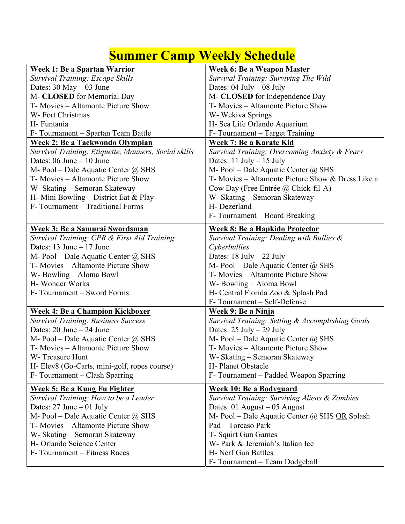# **Summer Camp Weekly Schedule**

| <b>Week 1: Be a Spartan Warrior</b>                  | <b>Week 6: Be a Weapon Master</b>                    |
|------------------------------------------------------|------------------------------------------------------|
| Survival Training: Escape Skills                     | Survival Training: Surviving The Wild                |
| Dates: $30$ May $-03$ June                           | Dates: $04$ July $-08$ July                          |
| M- CLOSED for Memorial Day                           | M- CLOSED for Independence Day                       |
| T- Movies – Altamonte Picture Show                   | T- Movies - Altamonte Picture Show                   |
| W- Fort Christmas                                    | W- Wekiva Springs                                    |
| H-Funtania                                           | H- Sea Life Orlando Aquarium                         |
| F-Tournament – Spartan Team Battle                   | F-Tournament - Target Training                       |
| <b>Week 2: Be a Tackwondo Olympian</b>               | Week 7: Be a Karate Kid                              |
| Survival Training: Etiquette, Manners, Social skills | Survival Training: Overcoming Anxiety & Fears        |
| Dates: $06$ June $-10$ June                          | Dates: $11$ July $- 15$ July                         |
| M- Pool – Dale Aquatic Center $@$ SHS                | M- Pool – Dale Aquatic Center $\omega$ SHS           |
| T- Movies – Altamonte Picture Show                   | T- Movies – Altamonte Picture Show & Dress Like a    |
| W- Skating – Semoran Skateway                        | Cow Day (Free Entrée @ Chick-fil-A)                  |
| H- Mini Bowling – District Eat & Play                | W- Skating – Semoran Skateway                        |
| F-Tournament – Traditional Forms                     | H-Dezerland                                          |
|                                                      | F-Tournament – Board Breaking                        |
| <b>Week 3: Be a Samurai Swordsman</b>                | <u> Week 8: Be a Hapkido Protector</u>               |
| Survival Training: CPR & First Aid Training          | Survival Training: Dealing with Bullies &            |
| Dates: $13$ June $-17$ June                          | Cyberbullies                                         |
| M- Pool - Dale Aquatic Center @ SHS                  | Dates: $18$ July $- 22$ July                         |
| T- Movies - Altamonte Picture Show                   | M- Pool – Dale Aquatic Center $@$ SHS                |
| W-Bowling – Aloma Bowl                               | T- Movies – Altamonte Picture Show                   |
| H-Wonder Works                                       | W-Bowling - Aloma Bowl                               |
| F-Tournament – Sword Forms                           | H- Central Florida Zoo & Splash Pad                  |
|                                                      | F-Tournament - Self-Defense                          |
| <b>Week 4: Be a Champion Kickboxer</b>               | Week 9: Be a Ninja                                   |
| Survival Training: Business Success                  | Survival Training: Setting & Accomplishing Goals     |
| Dates: $20$ June $- 24$ June                         | Dates: $25 \text{ July} - 29 \text{ July}$           |
| M- Pool – Dale Aquatic Center $@$ SHS                | M- Pool – Dale Aquatic Center $@$ SHS                |
| T- Movies – Altamonte Picture Show                   | T- Movies - Altamonte Picture Show                   |
| W-Treasure Hunt                                      | W- Skating - Semoran Skateway                        |
| H- Elev8 (Go-Carts, mini-golf, ropes course)         | H- Planet Obstacle                                   |
| F-Tournament – Clash Sparring                        | F- Tournament – Padded Weapon Sparring               |
| Week 5: Be a Kung Fu Fighter                         | <b>Week 10: Be a Bodyguard</b>                       |
| Survival Training: How to be a Leader                | Survival Training: Surviving Aliens & Zombies        |
| Dates: $27$ June $-01$ July                          | Dates: $01$ August – $05$ August                     |
| M- Pool – Dale Aquatic Center $@$ SHS                | M- Pool – Dale Aquatic Center $\omega$ SHS OR Splash |
| T- Movies – Altamonte Picture Show                   | Pad - Torcaso Park                                   |
| W- Skating - Semoran Skateway                        | T- Squirt Gun Games                                  |
| H- Orlando Science Center                            | W- Park & Jeremiah's Italian Ice                     |
| F-Tournament – Fitness Races                         | H- Nerf Gun Battles                                  |
|                                                      | F-Tournament - Team Dodgeball                        |